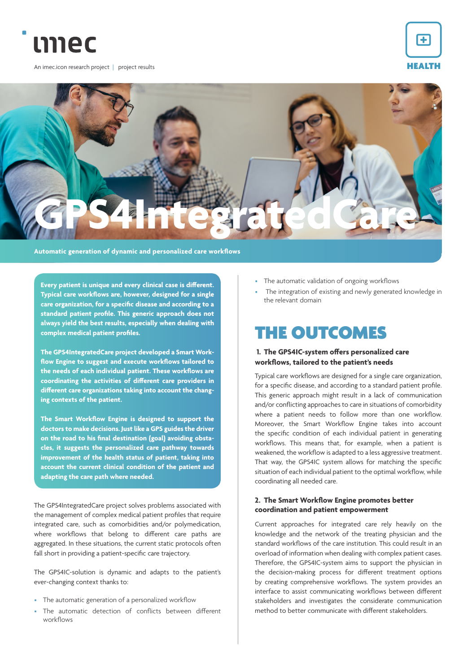

An imec.icon research project | project results





**Every patient is unique and every clinical case is different. Typical care workflows are, however, designed for a single care organization, for a specific disease and according to a standard patient profile. This generic approach does not always yield the best results, especially when dealing with complex medical patient profiles.**

**The GPS4IntegratedCare project developed a Smart Workflow Engine to suggest and execute workflows tailored to the needs of each individual patient. These workflows are coordinating the activities of different care providers in different care organizations taking into account the changing contexts of the patient.** 

**The Smart Workflow Engine is designed to support the doctors to make decisions. Just like a GPS guides the driver on the road to his final destination (goal) avoiding obstacles, it suggests the personalized care pathway towards improvement of the health status of patient, taking into account the current clinical condition of the patient and adapting the care path where needed.**

The GPS4IntegratedCare project solves problems associated with the management of complex medical patient profiles that require integrated care, such as comorbidities and/or polymedication, where workflows that belong to different care paths are aggregated. In these situations, the current static protocols often fall short in providing a patient-specific care trajectory.

The GPS4IC-solution is dynamic and adapts to the patient's ever-changing context thanks to:

- The automatic generation of a personalized workflow
- The automatic detection of conflicts between different workflows
- The automatic validation of ongoing workflows
- The integration of existing and newly generated knowledge in the relevant domain

## THE OUTCOMES

## **1. The GPS4IC-system offers personalized care workflows, tailored to the patient's needs**

Typical care workflows are designed for a single care organization, for a specific disease, and according to a standard patient profile. This generic approach might result in a lack of communication and/or conflicting approaches to care in situations of comorbidity where a patient needs to follow more than one workflow. Moreover, the Smart Workflow Engine takes into account the specific condition of each individual patient in generating workflows. This means that, for example, when a patient is weakened, the workflow is adapted to a less aggressive treatment. That way, the GPS4IC system allows for matching the specific situation of each individual patient to the optimal workflow, while coordinating all needed care.

## **2. The Smart Workflow Engine promotes better coordination and patient empowerment**

Current approaches for integrated care rely heavily on the knowledge and the network of the treating physician and the standard workflows of the care institution. This could result in an overload of information when dealing with complex patient cases. Therefore, the GPS4IC-system aims to support the physician in the decision-making process for different treatment options by creating comprehensive workflows. The system provides an interface to assist communicating workflows between different stakeholders and investigates the considerate communication method to better communicate with different stakeholders.